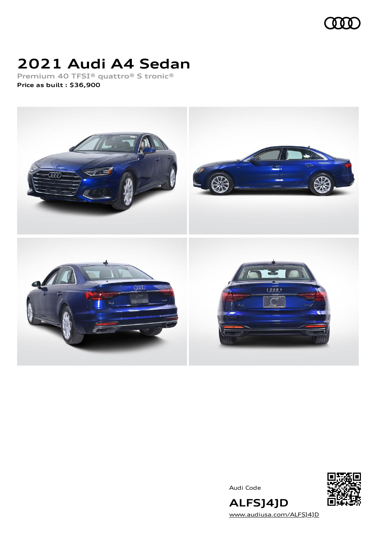

# **2021 Audi A4 Sedan**

**Premium 40 TFSI® quattro® S tronic® Price as built [:](#page-10-0) \$36,900**



Audi Code



**ALFSJ4JD** [www.audiusa.com/ALFSJ4JD](https://www.audiusa.com/ALFSJ4JD)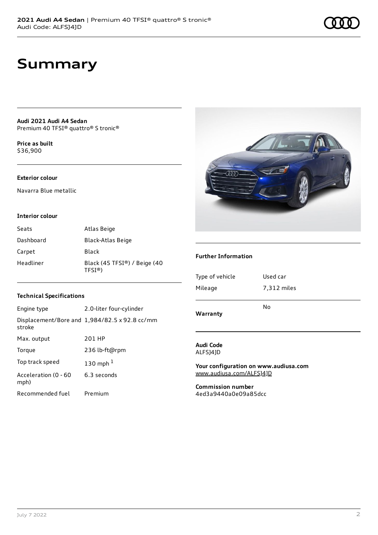# **Summary**

**Audi 2021 Audi A4 Sedan** Premium 40 TFSI® quattro® S tronic®

**Price as buil[t](#page-10-0)** \$36,900

### **Exterior colour**

Navarra Blue metallic

#### **Interior colour**

| Seats     | Atlas Beige                                       |
|-----------|---------------------------------------------------|
| Dashboard | Black-Atlas Beige                                 |
| Carpet    | Black                                             |
| Headliner | Black (45 TFSI®) / Beige (40<br>TFSI <sup>®</sup> |

#### **Technical Specifications**

| Engine type                  | 2.0-liter four-cylinder                              |
|------------------------------|------------------------------------------------------|
| stroke                       | Displacement/Bore and $1,984/82.5 \times 92.8$ cc/mm |
| Max. output                  | 201 HP                                               |
| Torque                       | 236 lb-ft@rpm                                        |
| Top track speed              | 130 mph $1$                                          |
| Acceleration (0 - 60<br>mph) | 6.3 seconds                                          |
| Recommended fuel             | Premium                                              |



### **Further Information**

| Warranty        |             |
|-----------------|-------------|
|                 | No          |
| Mileage         | 7,312 miles |
| Type of vehicle | Used car    |
|                 |             |

#### **Audi Code** ALFSJ4JD

**Your configuration on www.audiusa.com** [www.audiusa.com/ALFSJ4JD](https://www.audiusa.com/ALFSJ4JD)

**Commission number** 4ed3a9440a0e09a85dcc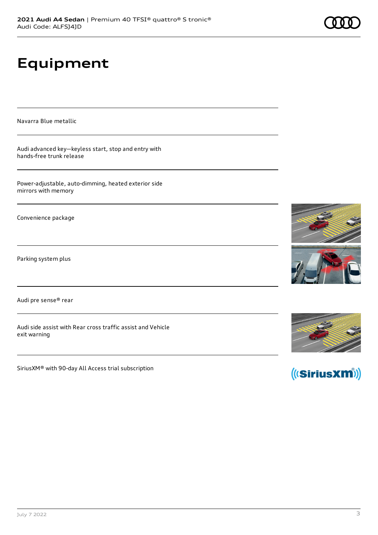# **Equipment**

Navarra Blue metallic

Audi advanced key—keyless start, stop and entry with hands-free trunk release

Power-adjustable, auto-dimming, heated exterior side mirrors with memory

Convenience package

Parking system plus

Audi pre sense® rear

Audi side assist with Rear cross traffic assist and Vehicle exit warning

SiriusXM® with 90-day All Access trial subscription







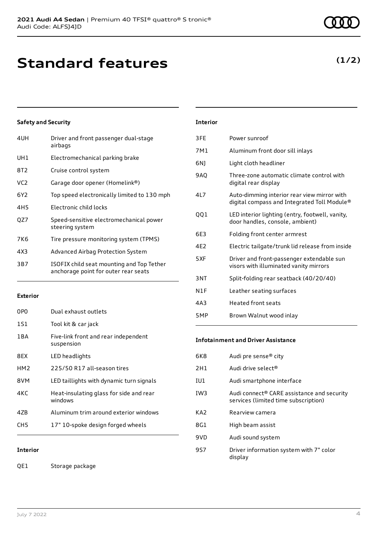| 4UH             | Driver and front passenger dual-stage<br>airbags                                  |
|-----------------|-----------------------------------------------------------------------------------|
| UH1             | Electromechanical parking brake                                                   |
| 8T2             | Cruise control system                                                             |
| VC <sub>2</sub> | Garage door opener (Homelink®)                                                    |
| 6Y <sub>2</sub> | Top speed electronically limited to 130 mph                                       |
| 4H <sub>5</sub> | Electronic child locks                                                            |
| OZ7             | Speed-sensitive electromechanical power<br>steering system                        |
| 7K6             | Tire pressure monitoring system (TPMS)                                            |
| 4X3             | Advanced Airbag Protection System                                                 |
| 3B7             | ISOFIX child seat mounting and Top Tether<br>anchorage point for outer rear seats |

### **Exterior**

| 0PO             | Dual exhaust outlets                               |
|-----------------|----------------------------------------------------|
| 1S1             | Tool kit & car jack                                |
| 1 B A           | Five-link front and rear independent<br>suspension |
| 8EX             | LED headlights                                     |
| HM <sub>2</sub> | 225/50 R17 all-season tires                        |
| 8VM             | LED taillights with dynamic turn signals           |
| 4KC             | Heat-insulating glass for side and rear<br>windows |
| 47B             | Aluminum trim around exterior windows              |
| CH5             | 17" 10-spoke design forged wheels                  |

### **Interior**

QE1 Storage package

| <b>Interior</b> |
|-----------------|
|-----------------|

| 3FE             | Power sunroof                                                                              |
|-----------------|--------------------------------------------------------------------------------------------|
| 7M1             | Aluminum front door sill inlays                                                            |
| 6N)             | Light cloth headliner                                                                      |
| 9AQ             | Three-zone automatic climate control with<br>digital rear display                          |
| 417             | Auto-dimming interior rear view mirror with<br>digital compass and Integrated Toll Module® |
| QQ1             | LED interior lighting (entry, footwell, vanity,<br>door handles, console, ambient)         |
| 6E3             | Folding front center armrest                                                               |
| 4F <sub>2</sub> | Electric tailgate/trunk lid release from inside                                            |
| 5XF             | Driver and front-passenger extendable sun<br>visors with illuminated vanity mirrors        |
| 3NT             | Split-folding rear seatback (40/20/40)                                                     |
| N1F             | Leather seating surfaces                                                                   |
| 4A3             | <b>Heated front seats</b>                                                                  |
| 5MP             | Brown Walnut wood inlay                                                                    |

#### **Infotainment and Driver Assistance**

| 6K8             | Audi pre sense® city                                                                           |
|-----------------|------------------------------------------------------------------------------------------------|
| 2H1             | Audi drive select <sup>®</sup>                                                                 |
| IU1             | Audi smartphone interface                                                                      |
| IW <sub>3</sub> | Audi connect <sup>®</sup> CARE assistance and security<br>services (limited time subscription) |
| KA2             | Rearview camera                                                                                |
| 8G1             | High beam assist                                                                               |
| 9VD             | Audi sound system                                                                              |
| 9S7             | Driver information system with 7" color<br>display                                             |

### **(1/2)**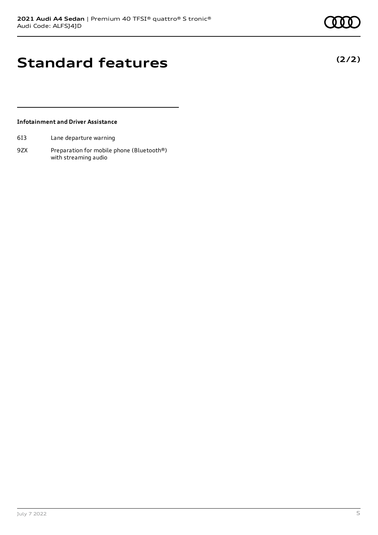**(2/2)**

### **Standard features**

### **Infotainment and Driver Assistance**

- 6I3 Lane departure warning
- 9ZX Preparation for mobile phone (Bluetooth®) with streaming audio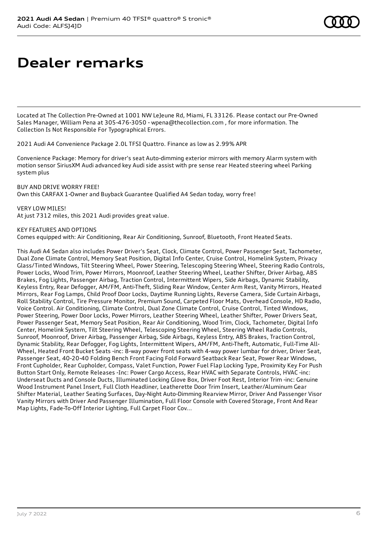### **Dealer remarks**

Located at The Collection Pre-Owned at 1001 NW LeJeune Rd, Miami, FL 33126. Please contact our Pre-Owned Sales Manager, William Pena at 305-476-3050 - wpena@thecollection.com , for more information. The Collection Is Not Responsible For Typographical Errors.

2021 Audi A4 Convenience Package 2.0L TFSI Quattro. Finance as low as 2.99% APR

Convenience Package: Memory for driver's seat Auto-dimming exterior mirrors with memory Alarm system with motion sensor SiriusXM Audi advanced key Audi side assist with pre sense rear Heated steering wheel Parking system plus

BUY AND DRIVE WORRY FREE! Own this CARFAX 1-Owner and Buyback Guarantee Qualified A4 Sedan today, worry free!

VERY LOW MILES! At just 7312 miles, this 2021 Audi provides great value.

KEY FEATURES AND OPTIONS

Comes equipped with: Air Conditioning, Rear Air Conditioning, Sunroof, Bluetooth, Front Heated Seats.

This Audi A4 Sedan also includes Power Driver's Seat, Clock, Climate Control, Power Passenger Seat, Tachometer, Dual Zone Climate Control, Memory Seat Position, Digital Info Center, Cruise Control, Homelink System, Privacy Glass/Tinted Windows, Tilt Steering Wheel, Power Steering, Telescoping Steering Wheel, Steering Radio Controls, Power Locks, Wood Trim, Power Mirrors, Moonroof, Leather Steering Wheel, Leather Shifter, Driver Airbag, ABS Brakes, Fog Lights, Passenger Airbag, Traction Control, Intermittent Wipers, Side Airbags, Dynamic Stability, Keyless Entry, Rear Defogger, AM/FM, Anti-Theft, Sliding Rear Window, Center Arm Rest, Vanity Mirrors, Heated Mirrors, Rear Fog Lamps, Child Proof Door Locks, Daytime Running Lights, Reverse Camera, Side Curtain Airbags, Roll Stability Control, Tire Pressure Monitor, Premium Sound, Carpeted Floor Mats, Overhead Console, HD Radio, Voice Control. Air Conditioning, Climate Control, Dual Zone Climate Control, Cruise Control, Tinted Windows, Power Steering, Power Door Locks, Power Mirrors, Leather Steering Wheel, Leather Shifter, Power Drivers Seat, Power Passenger Seat, Memory Seat Position, Rear Air Conditioning, Wood Trim, Clock, Tachometer, Digital Info Center, Homelink System, Tilt Steering Wheel, Telescoping Steering Wheel, Steering Wheel Radio Controls, Sunroof, Moonroof, Driver Airbag, Passenger Airbag, Side Airbags, Keyless Entry, ABS Brakes, Traction Control, Dynamic Stability, Rear Defogger, Fog Lights, Intermittent Wipers, AM/FM, Anti-Theft, Automatic, Full-Time All-Wheel, Heated Front Bucket Seats -inc: 8-way power front seats with 4-way power lumbar for driver, Driver Seat, Passenger Seat, 40-20-40 Folding Bench Front Facing Fold Forward Seatback Rear Seat, Power Rear Windows, Front Cupholder, Rear Cupholder, Compass, Valet Function, Power Fuel Flap Locking Type, Proximity Key For Push Button Start Only, Remote Releases -Inc: Power Cargo Access, Rear HVAC with Separate Controls, HVAC -inc: Underseat Ducts and Console Ducts, Illuminated Locking Glove Box, Driver Foot Rest, Interior Trim -inc: Genuine Wood Instrument Panel Insert, Full Cloth Headliner, Leatherette Door Trim Insert, Leather/Aluminum Gear Shifter Material, Leather Seating Surfaces, Day-Night Auto-Dimming Rearview Mirror, Driver And Passenger Visor Vanity Mirrors with Driver And Passenger Illumination, Full Floor Console with Covered Storage, Front And Rear Map Lights, Fade-To-Off Interior Lighting, Full Carpet Floor Cov...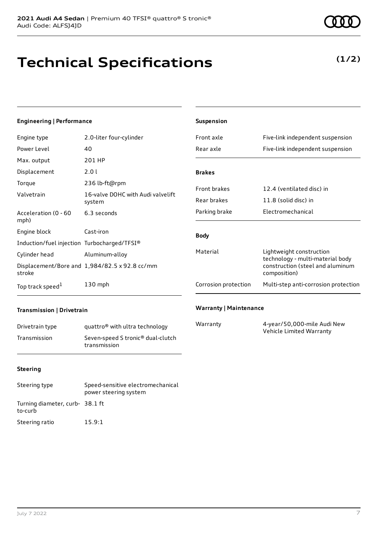# **Technical Specifications**

### **(1/2)**

### **Engineering | Performance**

| Engine type                                 | 2.0-liter four-cylinder                       |
|---------------------------------------------|-----------------------------------------------|
| Power Level                                 | 40                                            |
| Max. output                                 | 201 HP                                        |
| Displacement                                | 2.01                                          |
| Torque                                      | 236 lb-ft@rpm                                 |
| Valvetrain                                  | 16-valve DOHC with Audi valvelift<br>system   |
| Acceleration (0 - 60<br>mph)                | 6.3 seconds                                   |
| Engine block                                | Cast-iron                                     |
| Induction/fuel injection Turbocharged/TFSI® |                                               |
| Cylinder head                               | Aluminum-alloy                                |
| stroke                                      | Displacement/Bore and 1,984/82.5 x 92.8 cc/mm |
| Top track speed <sup>1</sup>                | 130 mph                                       |

| <b>Suspension</b>    |                                                                                                                  |
|----------------------|------------------------------------------------------------------------------------------------------------------|
| Front axle           | Five-link independent suspension                                                                                 |
| Rear axle            | Five-link independent suspension                                                                                 |
| <b>Brakes</b>        |                                                                                                                  |
|                      |                                                                                                                  |
| <b>Front brakes</b>  | 12.4 (ventilated disc) in                                                                                        |
| Rear brakes          | 11.8 (solid disc) in                                                                                             |
| Parking brake        | Electromechanical                                                                                                |
| <b>Body</b>          |                                                                                                                  |
| Material             | Lightweight construction<br>technology - multi-material body<br>construction (steel and aluminum<br>composition) |
| Corrosion protection | Multi-step anti-corrosion protection                                                                             |
|                      |                                                                                                                  |

### **Transmission | Drivetrain**

| Drivetrain type | quattro <sup>®</sup> with ultra technology                    |
|-----------------|---------------------------------------------------------------|
| Transmission    | Seven-speed S tronic <sup>®</sup> dual-clutch<br>transmission |

#### **Warranty | Maintenance**

| Warranty | 4-year/50,000-mile Audi New |
|----------|-----------------------------|
|          | Vehicle Limited Warranty    |

#### **Steering**

| Steering type                              | Speed-sensitive electromechanical<br>power steering system |
|--------------------------------------------|------------------------------------------------------------|
| Turning diameter, curb- 38.1 ft<br>to-curb |                                                            |
| Steering ratio                             | 15.9:1                                                     |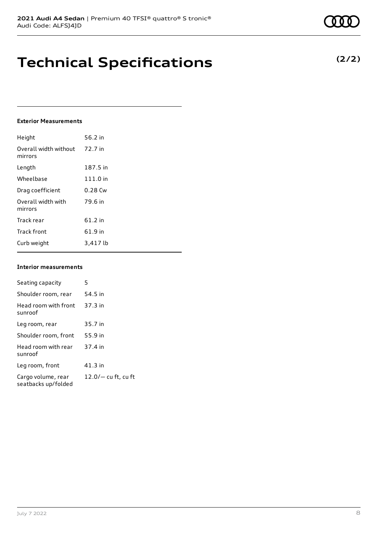# **Technical Specifications**

#### **Exterior Measurements**

| Height                           | 56.2 in  |
|----------------------------------|----------|
| Overall width without<br>mirrors | 72.7 in  |
| Length                           | 187.5 in |
| Wheelbase                        | 111.0 in |
| Drag coefficient                 | 0.28 Cw  |
| Overall width with<br>mirrors    | 79.6 in  |
| Track rear                       | 61.2 in  |
| <b>Track front</b>               | 61.9 in  |
| Curb weight                      | 3,417 lb |

#### **Interior measurements**

| Seating capacity                          | 5                     |
|-------------------------------------------|-----------------------|
| Shoulder room, rear                       | 54.5 in               |
| Head room with front<br>sunroof           | 37.3 in               |
| Leg room, rear                            | 35.7 in               |
| Shoulder room, front                      | 55.9 in               |
| Head room with rear<br>sunroof            | 37.4 in               |
| Leg room, front                           | $41.3$ in             |
| Cargo volume, rear<br>seatbacks up/folded | $12.0/-$ cu ft, cu ft |

**(2/2)**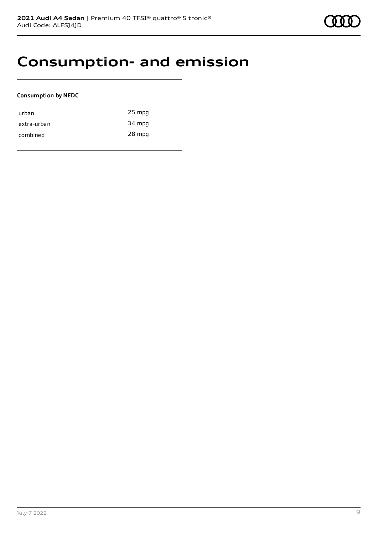### **Consumption- and emission**

### **Consumption by NEDC**

| urban       | $25$ mpg |
|-------------|----------|
| extra-urban | 34 mpg   |
| combined    | 28 mpg   |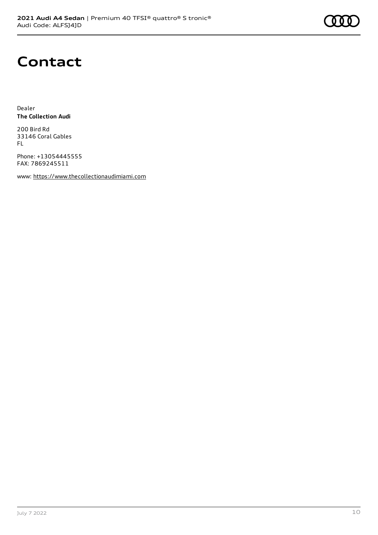

### **Contact**

Dealer **The Collection Audi**

200 Bird Rd 33146 Coral Gables FL

Phone: +13054445555 FAX: 7869245511

www: [https://www.thecollectionaudimiami.com](https://www.thecollectionaudimiami.com/)